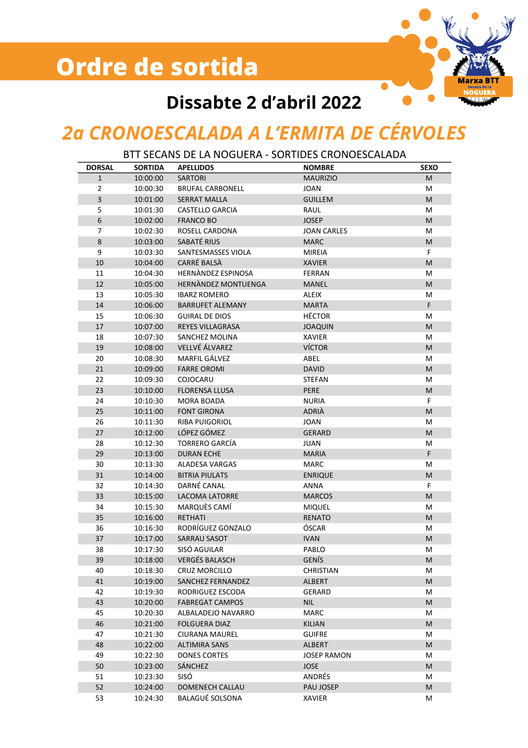## **Ordre de sortida**



## **Dissabte 2 d'abril 2022**

## *2a CRONOESCALADA A L'ERMITA DE CÉRVOLES*

BTT SECANS DE LA NOGUERA - SORTIDES CRONOESCALADA

| <b>DORSAL</b>  | <b>SORTIDA</b> | <b>APELLIDOS</b>           | <b>NOMBRE</b>      | <b>SEXO</b> |
|----------------|----------------|----------------------------|--------------------|-------------|
| $\mathbf{1}$   | 10:00:00       | <b>SARTORI</b>             | <b>MAURIZIO</b>    | M           |
| $\overline{2}$ | 10:00:30       | <b>BRUFAL CARBONELL</b>    | <b>JOAN</b>        | M           |
| 3              | 10:01:00       | <b>SERRAT MALLA</b>        | <b>GUILLEM</b>     | M           |
| 5              | 10:01:30       | <b>CASTELLO GARCIA</b>     | RAUL               | M           |
| 6              | 10:02:00       | <b>FRANCO BO</b>           | <b>JOSEP</b>       | M           |
| 7              | 10:02:30       | ROSELL CARDONA             | <b>JOAN CARLES</b> | M           |
| 8              | 10:03:00       | SABATÉ RIUS                | <b>MARC</b>        | M           |
| 9              | 10:03:30       | SANTESMASSES VIOLA         | MIREIA             | F           |
| 10             | 10:04:00       | CARRÉ BALSÀ                | <b>XAVIER</b>      | M           |
| 11             | 10:04:30       | <b>HERNANDEZ ESPINOSA</b>  | <b>FERRAN</b>      | M           |
| 12             | 10:05:00       | <b>HERNANDEZ MONTUENGA</b> | <b>MANEL</b>       | M           |
| 13             | 10:05:30       | <b>IBARZ ROMERO</b>        | <b>ALEIX</b>       | M           |
| 14             | 10:06:00       | <b>BARRUFET ALEMANY</b>    | <b>MARTA</b>       | F           |
| 15             | 10:06:30       | <b>GUIRAL DE DIOS</b>      | <b>HÉCTOR</b>      | M           |
| 17             | 10:07:00       | REYES VILLAGRASA           | <b>JOAQUIN</b>     | M           |
| 18             | 10:07:30       | SANCHEZ MOLINA             | <b>XAVIER</b>      | M           |
| 19             | 10:08:00       | VELLVÉ ÁLVAREZ             | <b>VÍCTOR</b>      | M           |
| 20             | 10:08:30       | MARFIL GÁLVEZ              | ABEL               | M           |
| 21             | 10:09:00       | <b>FARRE OROMI</b>         | <b>DAVID</b>       | M           |
| 22             | 10:09:30       | COJOCARU                   | <b>STEFAN</b>      | M           |
| 23             | 10:10:00       | <b>FLORENSA LLUSA</b>      | PERE               | M           |
| 24             | 10:10:30       | <b>MORA BOADA</b>          | <b>NURIA</b>       | F           |
| 25             | 10:11:00       | <b>FONT GIRONA</b>         | ADRIÀ              | M           |
| 26             | 10:11:30       | RIBA PUIGORIOL             | <b>JOAN</b>        | M           |
| 27             | 10:12:00       | LÓPEZ GÓMEZ                | <b>GERARD</b>      | M           |
| 28             | 10:12:30       | <b>TORRERO GARCÍA</b>      | <b>JUAN</b>        | M           |
| 29             | 10:13:00       | <b>DURAN ECHE</b>          | <b>MARIA</b>       | F           |
| 30             | 10:13:30       | <b>ALADESA VARGAS</b>      | <b>MARC</b>        | M           |
| 31             | 10:14:00       | <b>BITRIA PIULATS</b>      | <b>ENRIQUE</b>     | M           |
| 32             | 10:14:30       | DARNÉ CANAL                | ANNA               | F           |
| 33             | 10:15:00       | <b>LACOMA LATORRE</b>      | <b>MARCOS</b>      | M           |
| 34             | 10:15:30       | MARQUÈS CAMÍ               | <b>MIQUEL</b>      | M           |
| 35             | 10:16:00       | <b>RETHATI</b>             | <b>RENATO</b>      | M           |
| 36             | 10:16:30       | RODRÍGUEZ GONZALO          | ÓSCAR              | M           |
| 37             | 10:17:00       | SARRAU SASOT               | <b>IVAN</b>        | M           |
| 38             | 10:17:30       | SISÓ AGUILAR               | PABLO              | M           |
| 39             | 10:18:00       | <b>VERGÉS BALASCH</b>      | GENÍS              | M           |
| 40             | 10:18:30       | <b>CRUZ MORCILLO</b>       | <b>CHRISTIAN</b>   | M           |
| 41             | 10:19:00       | SANCHEZ FERNANDEZ          | <b>ALBERT</b>      | M           |
| 42             | 10:19:30       | RODRIGUEZ ESCODA           | <b>GERARD</b>      | M           |
| 43             | 10:20:00       | <b>FABREGAT CAMPOS</b>     | <b>NIL</b>         | M           |
| 45             | 10:20:30       | ALBALADEJO NAVARRO         | MARC               | M           |
| 46             | 10:21:00       | <b>FOLGUERA DIAZ</b>       | KILIAN             | M           |
| 47             | 10:21:30       | <b>CIURANA MAUREL</b>      | <b>GUIFRE</b>      | M           |
| 48             | 10:22:00       | <b>ALTIMIRA SANS</b>       | <b>ALBERT</b>      | M           |
| 49             | 10:22:30       | <b>DONES CORTES</b>        | <b>JOSEP RAMON</b> | M           |
| 50             | 10:23:00       | SÁNCHEZ                    | <b>JOSE</b>        | M           |
| 51             | 10:23:30       | SISÓ                       | ANDRÉS             | M           |
| 52             | 10:24:00       | <b>DOMENECH CALLAU</b>     | PAU JOSEP          | M           |
| 53             | 10:24:30       | <b>BALAGUÉ SOLSONA</b>     | <b>XAVIER</b>      | M           |